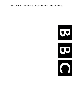



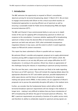# 1. Introduction

The BBC welcomes the opportunity to respond to Ofcom's consultation, Spectrum pricing for terrestrial broadcasting, dated 13 March 2013. We are keen to engage constructively with Ofcom on this critical issue which touches on fundamental approaches to securing efficient use of spectrum as well as ensuring a sustainable model for Public Service Broadcasting (PSB) and digital terrestrial television (DTT). .

The BBC and Channel 4 have commissioned Aetha to carry out an in-depth review of the case for applying AIP to broadcasting spectrum to inform our response to the consultation. It assesses whether applying AIP to broadcasting spectrum is likely to have the desired effect of incentivising more efficient spectrum use both now and post-2020, what unintended consequences (regulatory failures) it may cause, and the extent to which it could negatively impact on PSB and UK content investment.

This report has been submitted to Ofcom in parallel with our response.

We welcome Ofcom's sensible and pragmatic proposal not to apply administered incentive pricing (AIP) to digital terrestrial television (DTT) before c2020. We support the reasons as set out why AIP poses such unique difficulties for DTT broadcasters. In coming to this position, Ofcom has shown an appreciation of the challenges facing the industry in responding to spectrum pricing incentives.

Over the next few years, some major decisions are likely to be made regarding the future use of UHF spectrum. These will include the ongoing debate about the appropriate allocations for DTT and mobile spectrum, possible deployments of white space devices and the future of spectrum allocations for programme making and special events (PMSE). In that context, we are supportive of Ofcom's proposals not to pursue the potentially disruptive AIP policy in the medium term.

Further, we consider that the fundamental factors which define the BBC's terrestrial broadcast spectrum requirements will not change in the medium or longer term – making it very difficult to believe that any future introduction of AIP to broadcasting will deliver the goal of increased spectrum efficiency. The BBC's spectrum requirements are primarily a function of its public service remit, and therefore its ability to unilaterally respond to spectrum pricing signals are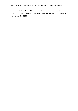extremely limited. We would welcome further discussions to understand why Ofcom considers that today's constraints on the application of pricing will be addressed after 2020.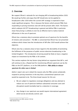## 2. Overview

We support Ofcom's rationale for not charging AIP to broadcasting before 2020. We would go further and argue that AIP should also not be applied to broadcasters after 2020 when the current UHF strategy is expected to have made significant progress. This is because the factors which prevent PSBs from responding to pricing incentives now will still be present after 2020. The factors which underpin UK DTT broadcasting in general and define PSBs in particular mean that pricing is unlikely to ever be an effective tool to realise material efficiencies in the use of spectrum.

Ofcom has a statutory duty to promote optimal use of spectrum for the benefits of citizens and consumers[1](#page-4-0). The BBC is concerned that Ofcom has not presented evidence which shows how the introduction of AIP after 2020 would achieve that objective.

Ofcom also has a statutory duty to have regard to the desirability of promoting the fulfilment of the purposes of public service television broadcasting in the United Kingdom[2](#page-4-1). The introduction of pricing would be likely to have a negative impact on investment by the PSBs in UK content.

This section explores the key factors lying behind our argument that AIP is, and will continue to be, a flawed tool for incentivising efficient spectrum use by the PSBs on the DTT platform, or on the DAB platform. PSBs ability to release spectrum for other uses is limited

Aetha's report sets out in detail the reasons why the PSBs cannot unilaterally respond to pricing incentives in the way that a conventional spectrum user would be expected to do. The three broad reasons for this are:

- We are subject to regulatory coverage obligations and any attempt to reduce our use of spectrum (without substantial consumer costs and disruption) would inevitably lead to a reduction in coverage;
- Any change in our spectrum use would require international agreement which we do not directly control; and

 $1$  Communications Act 2003, Section 3 (2) (a)

<span id="page-4-1"></span><span id="page-4-0"></span><sup>2</sup> *Ibid,* Section 4 (a)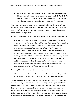• Whilst we could, in theory, change the technology that we use to more efficient standards (in particular, move wholesale from DVB-T to DVB-T2) our lack of direct control over viewer take up of related receiver would mean that significant numbers of viewers would lose TV reception.

Ofcom recognises these factors in its consultation. Indeed Figure 4.1 of that document shows the theoretical measures that PSBs could take to improve their spectrum efficiency, before going on to explain that only marginal gains can actually be made in practice.

Paragraph 4.18 of the consultation succinctly describes the constraints PSBs face:

First, they [terrestrial broadcasters] are subject to regulatory obligations imposed through licence conditions. These are designed by Ofcom to reflect our duties under the Communications Act to secure a wide range of television services throughout the whole of the UK and to promote, in particular, public service television (PSB). Second, there is a risk that an uncoordinated transition to more efficient transmission technologies would leave significant numbers of consumers with obsolete receiver equipment to the detriment both of those using the DTT platform and to the reach of public service content. Third, broadcasters' use of particular spectrum frequencies in the UK is dependent on internationally agreed co-ordination because of the need to avoid cross-border interference.

However, Ofcom then states in the next paragraph 4.19:

These factors do not absolutely prevent broadcasters from seeking to deliver efficiency improvements, but they collectively make it more challenging.

The extent to which broadcasters can unilaterally respond to spectrum pricing incentives in any significant way – even in the longer term – appears to be the central point of contention. It may be possible that some marginal efficiency improvements can be made and Aetha sets out in its report the numerous measures we have already taken to use spectrum as efficiently as possible, including the launch of the T2 multiplex which provides HD simulcasts. However, significant further improvements such as those that would be needed to clear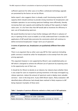sufficient spectrum for other uses or to effect a wholesale technology upgrade are prevented by the factors set out by Ofcom.

Aetha report's also suggests there is already a well-functioning market for DTT capacity which should continue to provide strong incentives for broadcasters and multiplex operators to use existing spectrum holdings more efficiently, thereby increasing their own capacity and enabling the trading of that capacity to higher value users. It is far from clear that AIP would add to incentives for efficiency in own-use of broadcasting spectrum.

We would therefore be keen to have further dialogue with Ofcom in advance of any re-opening of this issue to enable us to fully understand how it considers the application of AIP would help overcome the constraints which will continue to define terrestrial broadcasters' longer-term use of spectrum.

### In terms of spectrum use, broadcasters are qualitatively different from other users

There is an argument that as other users pay AIP for their spectrum (including public services) it would be unfair for broadcasters to be exempt from the same pricing approach.

This argument however is not supported by Ofcom's own established policy on AIP which is designed to achieve the efficient use of spectrum by exposing users to the opportunity cost of their use.

It should be for Ofcom to decide on an industry-by-industry basis whether there is any scope for users to respond to pricing incentives in the ways envisaged (e.g. release spectrum, reduce the amount of spectrum used or deploy more valuable services) - even in the long term. A July 2009 Ofcom report, *Policy evaluation: AIP*, identified where efficiencies had already been realised in likely response to AIP being imposed. Examples of these were:

#### Table 1: Examples of spectrum efficiencies realised as a likely result of AIP application

| Original user | Change                                                             |
|---------------|--------------------------------------------------------------------|
| MOD           | Release of 2290-2300 MHz                                           |
|               | Radio Astronomy   Remove constraints on active services at 150.05– |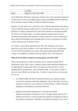|        | 152 MHz                  |
|--------|--------------------------|
| Police | Release of 450-462.5 MHz |

Since 2009 other efficiencies have been realised such as the impending release of 2.3 GHz and 3.4 GHz by the MOD and the sharing with PMSE (between 2009 and 2012) and then release of 606-614 MHz by Radio Astronomy.

However, the key point here is that these users, unlike broadcasting, were able to realise significant spectrum efficiencies in a way that did not impact on their core purposes or impose substantial costs and/or dis-benefits on the general public. As set out in the Aetha report, no similar significant opportunities exist for terrestrial broadcasting. Any attempt to release spectrum or move unilaterally to more efficient technologies will inevitably lead to a loss of coverage or to some viewers losing access to valued services.

As a result, it may well be appropriate for AIP to be charged to one type of spectrum use but not to another. In this case, Ofcom has set out in paragraph 4.18 of the AIP consultation the reasons that make broadcasting effectively unique in its inability to respond to pricing signals, even in the long term.

#### PSBs will not be able to respond to pricing signals even after 2020

Ofcom has proposed in its AIP consultation that it intends to charge AIP to broadcasters after c2020, when it expects to have made significant progress on its ongoing UHF strategy work. We do not agree that there will be a case for applying AIP to broadcasting - and in particular PSBs – at this point in order to secure a more efficient use of spectrum. As Aetha's report sets out, the reasons for this are:

- As a PSB, the BBC will almost certainly continue to be subject to public service and coverage/universality obligations. We will therefore not be in a position to reduce our use of spectrum without being in conflict with these obligations and leading to consumer detriment;
- Ongoing international negotiations in the lead up to World Radiocommunications Conference in 2015 strongly indicate that the DTT platform will still be a central broadcasting platform throughout Europe in the medium to long term. Therefore, any proposed changes to our use of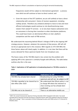frequencies would still be subject to international agreement -a process over which we will continue to have no direct control; and

• Given the nature of the DTT platform, we are still unlikely to have a direct relationship with consumers' choice of receiver equipment, including rooftop aerials. Therefore any unilateral attempt to move to new and more efficient technologies would continue to risk disenfranchising many viewers from valued TV services – or at very least impose substantial costs on consumers in forcing their transition to other distribution platforms. This could have knock-on detrimental effects on inter-platform competition and the reach of PSB services.

We understand the reasoning behind Ofcom's linkage of AIP to the ongoing UHF strategy process. However, whatever the outcome of that process, AIP will still not be an appropriate tool in this instance. With regards to 470-694 MHz the three factors above will clearly apply. In addition, it is not clear that there will be excess demand for these spectrum bands from non-broadcast uses.

The future status of the 700 MHz band is less certain but the problem with applying AIP to this spectrum is similarly fraught with difficulty. The table below outlines why this is the case:

| Table 2: Implications of AIP application to broadcasting based on 700 MHz scenarios in |  |
|----------------------------------------------------------------------------------------|--|
| 2020                                                                                   |  |

| <b>Scenario</b>                        | <b>Implications for AIP</b>             |  |
|----------------------------------------|-----------------------------------------|--|
| 700 MHz has already been cleared       | Broadcasting not using 700 MHz          |  |
|                                        | spectrum and will not be subject to AIP |  |
| 700 MHz signalled to be cleared but to | We understand that Ofcom policy is not  |  |
| take effect after 2020                 | to charge AIP where the intention to    |  |
|                                        | clear existing use has already been     |  |
|                                        | confirmed <sup>3</sup>                  |  |
| 700 MHz not to be cleared of           | There is no alternative mobile use      |  |

<span id="page-8-0"></span> <sup>3</sup> *SRSP: The revised Framework for Spectrum Pricing,* December 2010. Paragraph 4.332 states "we would normally look to intervene and clear the band in a planned manner rather than looking to spectrum pricing to effect such a change". There is precedent of Ofcom following this policy with PMSE access to TV Channels 61- 69 before 2012.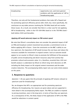| broadcasting | opportunity cost, and more general      |  |
|--------------|-----------------------------------------|--|
|              | problems with the application of AIP to |  |
|              | broadcasting apply                      |  |

Therefore, not only will the fundamental problems that make AIP a flawed tool for promoting spectrum efficiency persist after 2020, but, more specifically, the conclusion on any wider process involving the 700 MHz band will not resolve those issues. As a result, we consider that there is a clear case for not applying AIP to broadcasting – either in the 470-694 MHz band or in the 700 MHz band both before 2020 and thereafter.

#### Applying AIP would adversely impact on PSB content spend

We note that Ofcom's consultation does not consider the potential impact of AIP on PSB and broadcast content investment but provides a commitment to do so before applying AIP in future. Given the constraints on the BBC's ability to use less spectrum, the imposition of AIP would increase the cost base and reduce the resources available for investment in original content. Such an outcome would appear to run counter to Ofcom's duty to promote the fulfilment of the purposes of public service broadcasting and divert resources away from activity that promotes cultural and economic value. It is, therefore, essential that a full costbenefit analysis is undertaken by Ofcom to inform long-term decisions on AIP, including the likely impact on UK original content investment and the wider creative industries. The accompanying Aetha report sets out some initial analysis on this point.

## 3. Response to questions

Question 1: Do you agree that the principle of applying AIP remains relevant to spectrum used for broadcasting?

No, we disagree that AIP is an appropriate tool for promoting spectrum efficiency for broadcasting. Our reasons are given above and are supported in more detail in the accompanying Aetha report. The PSBs are unable to respond to pricing incentives, even in the long term, in terms of how they use spectrum. As a consequence of this, the likely impact of the application of AIP to the PSBs would be reductions in content spend.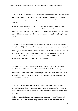Question 2: Do you agree with our revised proposals to delay the introduction of AIP based on opportunity cost for national DTT multiplex operators until we have materially progressed our proposals for the future use of the UHF spectrum?

As stated above, we welcome Ofcom's pragmatic proposal that AIP should not be applied to broadcasting before around 2020. However, the reasons why broadcasters are unable to respond to pricing incentives now will still be present after 2020. We, therefore, similarly see no convincing case for applying AIP after c2020.

Question 3: Do you agree with our proposals to apply a fee for spectrum used for national DTT, in the meantime, based on the cost of administration instead?

We recognise the necessity for Ofcom to ensure that its administration costs are recovered. Therefore, on the assumption that the level of those fees will be broadly in line with those indicated in the Award of the 600 MHz Band statement of February 2013, we are content with this proposal.

Question 4: Do you agree that charges based on the costs of managing the spectrum should be applied to DAB radio and to local TV broadcasting?

We welcome Ofcom's proposal not to charge AIP for DAB radio and local TV. In terms of paying a fee based on the costs of managing the spectrum, we reiterate our answer to Question 3.

Question 5: Do you agree that when full AIP is applied for spectrum used for national DTT broadcasting (once we have materially progressed our proposals for future use of the UHF spectrum) it should be applied gradually, rising over five years.

We have no detailed comments, at this stage, on this proposal. The gradual introduction of AIP for broadcasting does not, in our view, affect the basic